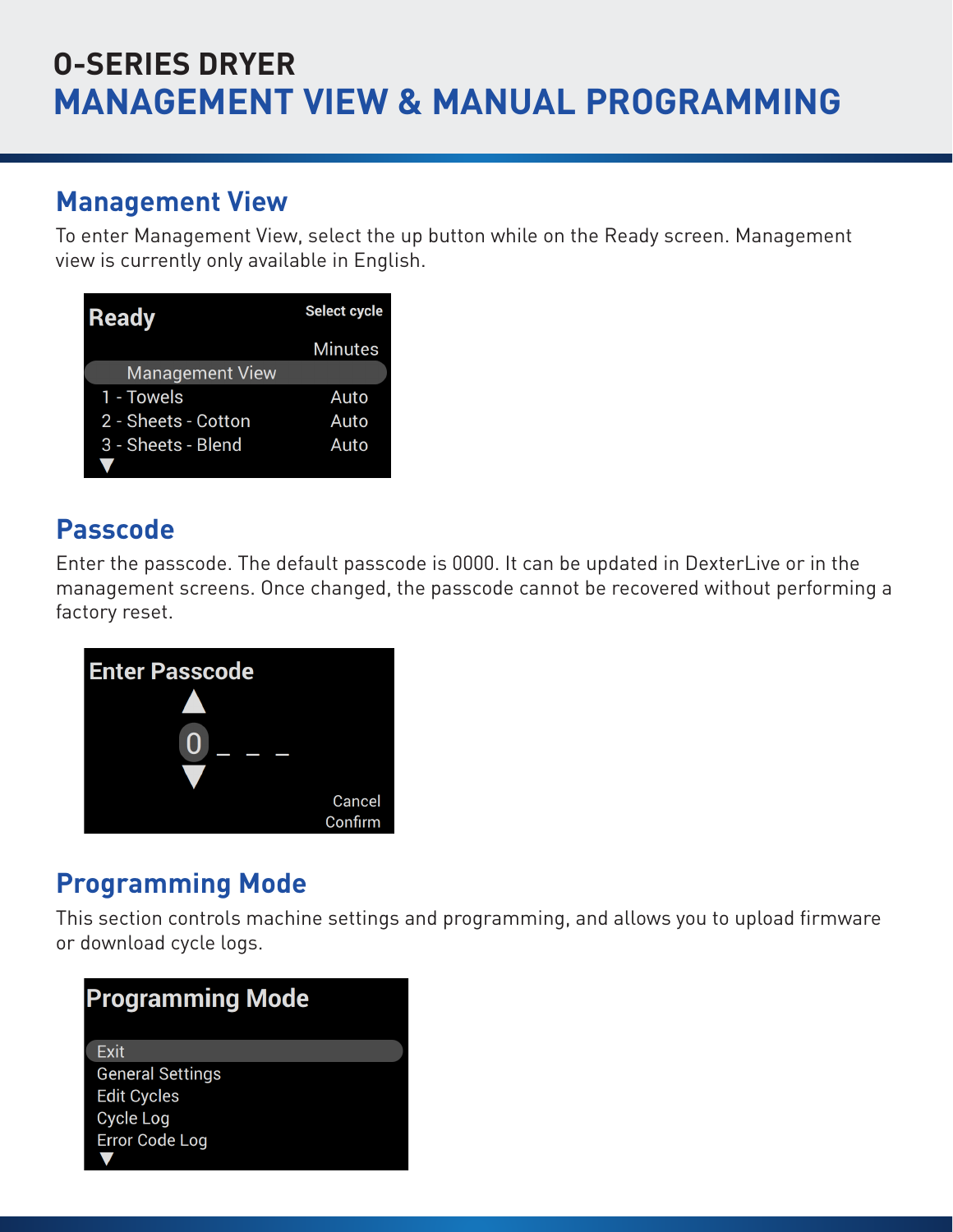## **O-SERIES DRYER MANAGEMENT VIEW & MANUAL PROGRAMMING**

O-SERIES DRYER MANAGEMENT VIEW

### **Management View**

To enter Management View, select the up button while on the Ready screen. Management view is currently only available in English.  $\cdots$  currently englished in  $\cdots$ 

| <b>Ready</b>           | Select cycle   |
|------------------------|----------------|
|                        | <b>Minutes</b> |
| <b>Management View</b> |                |
| 1 - Towels             | Auto           |
| 2 - Sheets - Cotton    | Auto           |
| 3 - Sheets - Blend     | Auto           |
|                        |                |

### **Passcode** is 000. It can be updated in DexterLive or in DexterLive or in DexterLive or in DexterLive or in DexterLive or in the U

Enter the passcode. The default passcode is 0000. It can be updated in DexterLive or in the management screens. Once changed, the passcode cannot be recovered without performing a factory reset. Once changed, the passcode cannot be recovered with performing a factory  $\mathbb{R}^n$ reset.



### **Programming Mode**

This section controls machine settings and programming, and allows you to upload firmware  $\overline{\phantom{a}}$ or download cycle logs. O-SERIES DRYER MANAGEMENT VIEW

| <b>Programming Mode</b> |  |
|-------------------------|--|
| Exit                    |  |
| <b>General Settings</b> |  |
| <b>Edit Cycles</b>      |  |
| <b>Cycle Log</b>        |  |
| <b>Error Code Log</b>   |  |
|                         |  |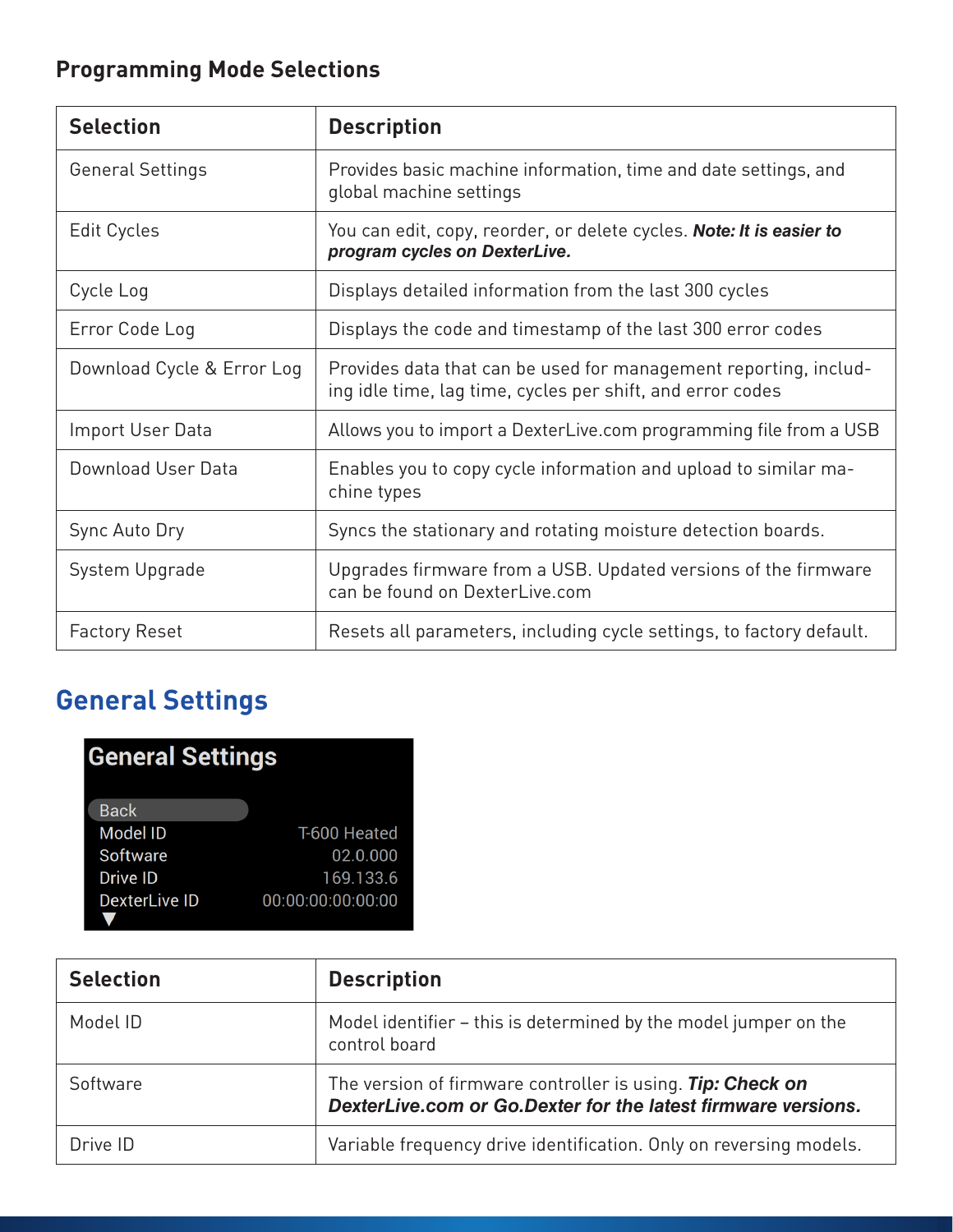### **Programming Mode Selections**

| <b>Selection</b>           | <b>Description</b>                                                                                                             |
|----------------------------|--------------------------------------------------------------------------------------------------------------------------------|
| <b>General Settings</b>    | Provides basic machine information, time and date settings, and<br>global machine settings                                     |
| Edit Cycles                | You can edit, copy, reorder, or delete cycles. <b>Note: It is easier to</b><br>program cycles on DexterLive.                   |
| Cycle Log                  | Displays detailed information from the last 300 cycles                                                                         |
| Error Code Log             | Displays the code and timestamp of the last 300 error codes                                                                    |
| Download Cycle & Error Log | Provides data that can be used for management reporting, includ-<br>ing idle time, lag time, cycles per shift, and error codes |
| Import User Data           | Allows you to import a DexterLive.com programming file from a USB                                                              |
| Download User Data         | Enables you to copy cycle information and upload to similar ma-<br>chine types                                                 |
| Sync Auto Dry              | Syncs the stationary and rotating moisture detection boards.                                                                   |
| System Upgrade             | Upgrades firmware from a USB. Updated versions of the firmware<br>can be found on DexterLive.com                               |
| <b>Factory Reset</b>       | Resets all parameters, including cycle settings, to factory default.                                                           |

## **General Settings General Settings**

| <b>General Settings</b> |                   |
|-------------------------|-------------------|
| <b>Back</b>             |                   |
| <b>Model ID</b>         | T-600 Heated      |
| Software                | 02.0.000          |
| Drive ID                | 169.133.6         |
| <b>DexterLive ID</b>    | 00:00:00:00:00:00 |
|                         |                   |

| <b>Selection</b> | <b>Description</b>                                                                                                          |  |
|------------------|-----------------------------------------------------------------------------------------------------------------------------|--|
| Model ID         | Model identifier – this is determined by the model jumper on the<br>control board                                           |  |
| Software         | The version of firmware controller is using. Tip: Check on<br>DexterLive.com or Go.Dexter for the latest firmware versions. |  |
| Drive ID         | Variable frequency drive identification. Only on reversing models.                                                          |  |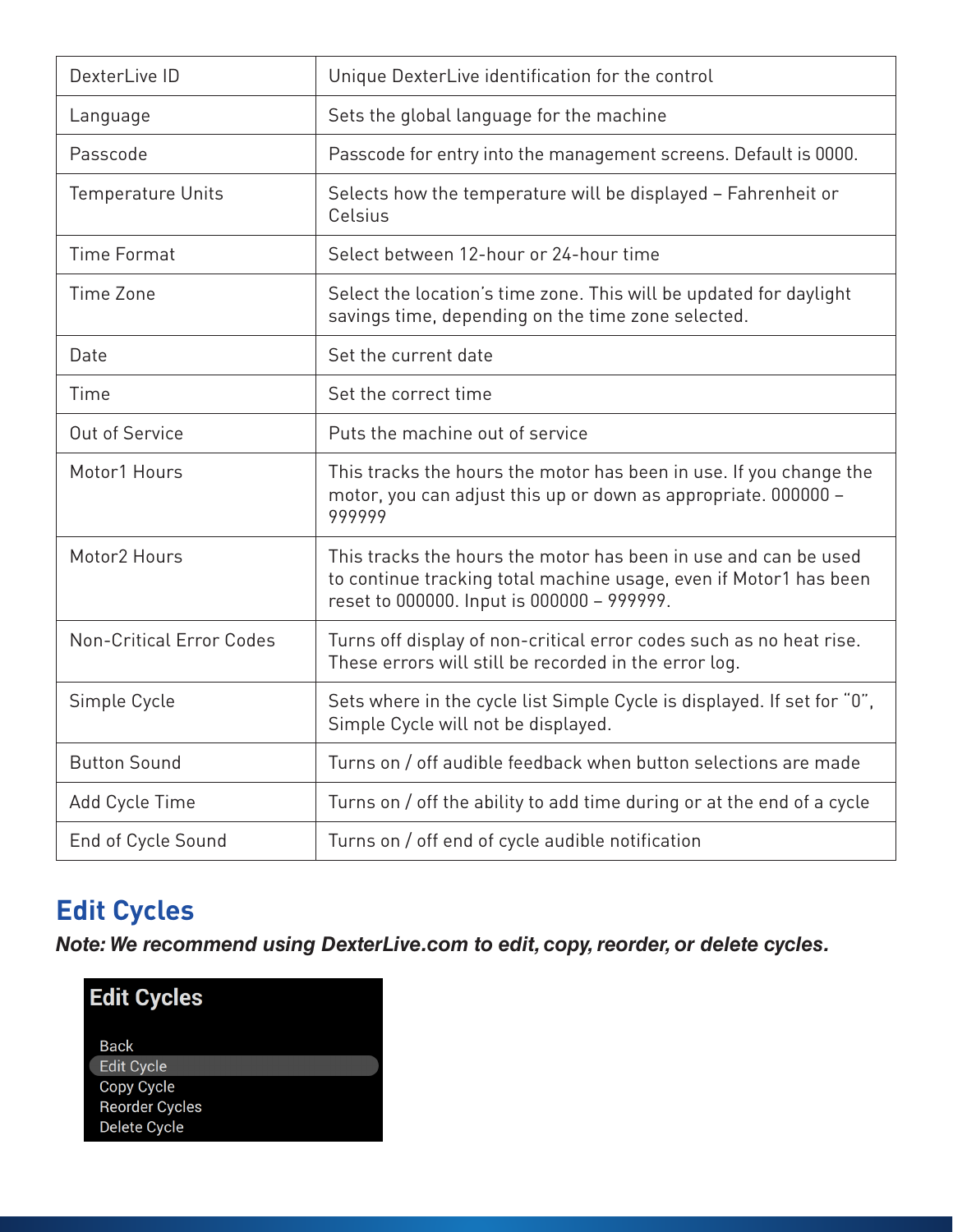| DexterLive ID                   | Unique DexterLive identification for the control                                                                                                                                   |  |
|---------------------------------|------------------------------------------------------------------------------------------------------------------------------------------------------------------------------------|--|
| Language                        | Sets the global language for the machine                                                                                                                                           |  |
| Passcode                        | Passcode for entry into the management screens. Default is 0000.                                                                                                                   |  |
| <b>Temperature Units</b>        | Selects how the temperature will be displayed - Fahrenheit or<br>Celsius                                                                                                           |  |
| <b>Time Format</b>              | Select between 12-hour or 24-hour time                                                                                                                                             |  |
| Time Zone                       | Select the location's time zone. This will be updated for daylight<br>savings time, depending on the time zone selected.                                                           |  |
| Date                            | Set the current date                                                                                                                                                               |  |
| Time                            | Set the correct time                                                                                                                                                               |  |
| Out of Service                  | Puts the machine out of service                                                                                                                                                    |  |
| Motor1 Hours                    | This tracks the hours the motor has been in use. If you change the<br>motor, you can adjust this up or down as appropriate. 000000 -<br>999999                                     |  |
| Motor <sub>2</sub> Hours        | This tracks the hours the motor has been in use and can be used<br>to continue tracking total machine usage, even if Motor1 has been<br>reset to 000000. Input is 000000 - 999999. |  |
| <b>Non-Critical Error Codes</b> | Turns off display of non-critical error codes such as no heat rise.<br>These errors will still be recorded in the error log.                                                       |  |
| Simple Cycle                    | Sets where in the cycle list Simple Cycle is displayed. If set for "0",<br>Simple Cycle will not be displayed.                                                                     |  |
| <b>Button Sound</b>             | Turns on / off audible feedback when button selections are made                                                                                                                    |  |
| Add Cycle Time                  | Turns on / off the ability to add time during or at the end of a cycle                                                                                                             |  |
| End of Cycle Sound              | Turns on / off end of cycle audible notification                                                                                                                                   |  |

## **Edit Cycles Edit Cycles**

*Note: We recommend using DexterLive.com to edit, copy, reorder, or delete cycles.* **Note: We recommend using DexterLive.com to edit, copy, reorder, or delete cycles.**

| <b>Edit Cycles</b>                  |
|-------------------------------------|
| Back<br><b>Edit Cycle</b>           |
| Copy Cycle<br><b>Reorder Cycles</b> |
| Delete Cycle                        |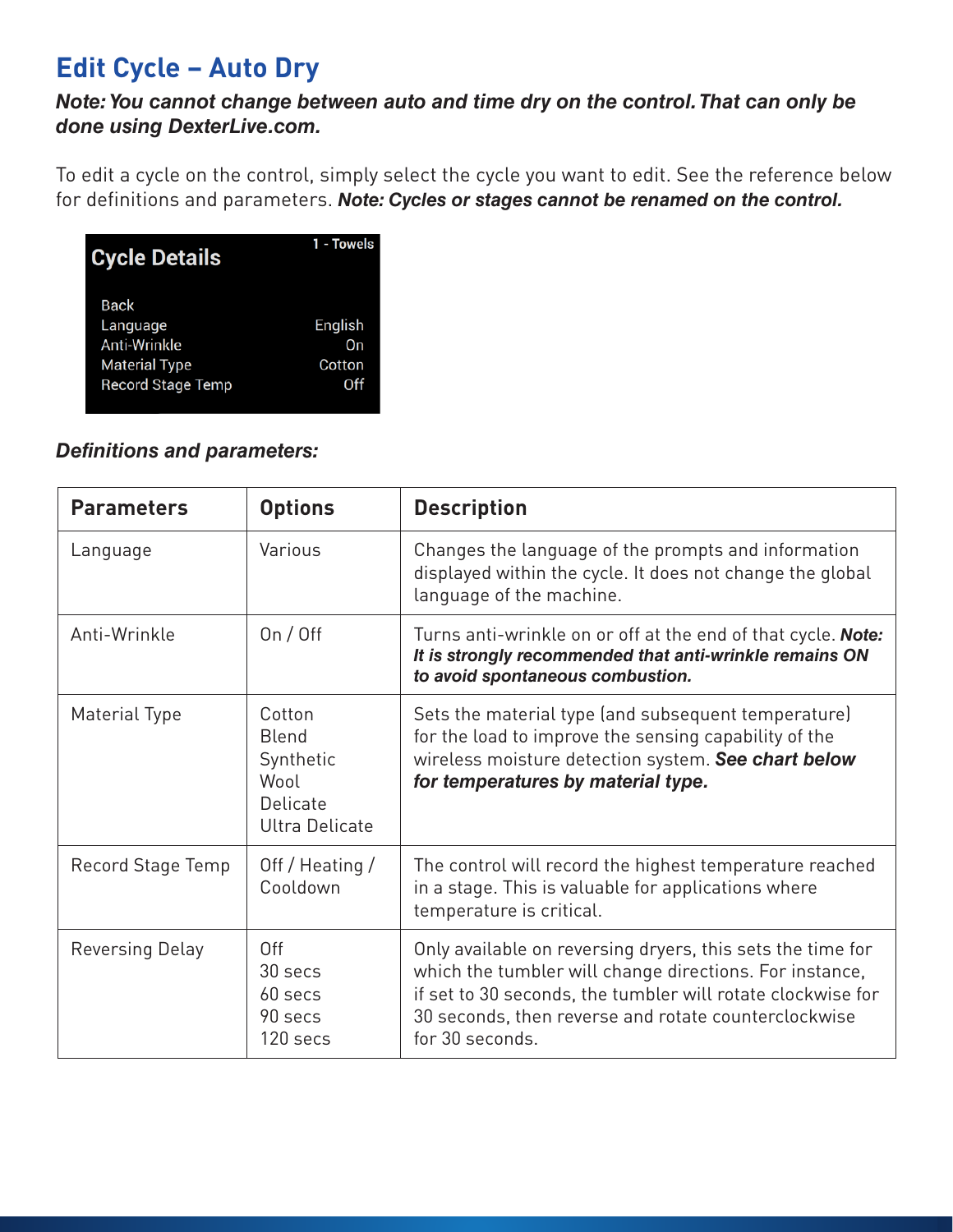### **Edit Cycle – Auto Dry**

### **Note: You cannot change between auto and time dry on the control. That can only be** *done using DexterLive.com. Note: You cannot change between auto and time dry on the control. That can only be done using*

To edit a cycle on the control, simply select the cycle you want to edit. See the reference below To edit a cycle on the control, simply select the cycle you want to edit. See the reference is<br>for definitions and parameters. **Note: Cycles or stages cannot be renamed on the control.** definitions and parameters. *Note: Cycles or stages cannot be renamed on the control***.**

| <b>Cycle Details</b>                                            | 1 - Towels              |
|-----------------------------------------------------------------|-------------------------|
| Back<br>Language<br><b>Anti-Wrinkle</b><br><b>Material Type</b> | English<br>On<br>Cotton |
| <b>Record Stage Temp</b>                                        | Off                     |

### *Definitions and parameters:* **Definitions and parameters:**

| <b>Parameters</b> | <b>Options</b>                                                                   | <b>Description</b>                                                                                                                                                                                                                                              |
|-------------------|----------------------------------------------------------------------------------|-----------------------------------------------------------------------------------------------------------------------------------------------------------------------------------------------------------------------------------------------------------------|
| Language          | Various                                                                          | Changes the language of the prompts and information<br>displayed within the cycle. It does not change the global<br>language of the machine.                                                                                                                    |
| Anti-Wrinkle      | On / Off                                                                         | Turns anti-wrinkle on or off at the end of that cycle. <b>Note:</b><br>It is strongly recommended that anti-wrinkle remains ON<br>to avoid spontaneous combustion.                                                                                              |
| Material Type     | Cotton<br><b>Blend</b><br>Synthetic<br>Wool<br>Delicate<br><b>Ultra Delicate</b> | Sets the material type (and subsequent temperature)<br>for the load to improve the sensing capability of the<br>wireless moisture detection system. See chart below<br>for temperatures by material type.                                                       |
| Record Stage Temp | Off / Heating /<br>Cooldown                                                      | The control will record the highest temperature reached<br>in a stage. This is valuable for applications where<br>temperature is critical.                                                                                                                      |
| Reversing Delay   | Off<br>30 secs<br>60 secs<br>90 secs<br>120 secs                                 | Only available on reversing dryers, this sets the time for<br>which the tumbler will change directions. For instance,<br>if set to 30 seconds, the tumbler will rotate clockwise for<br>30 seconds, then reverse and rotate counterclockwise<br>for 30 seconds. |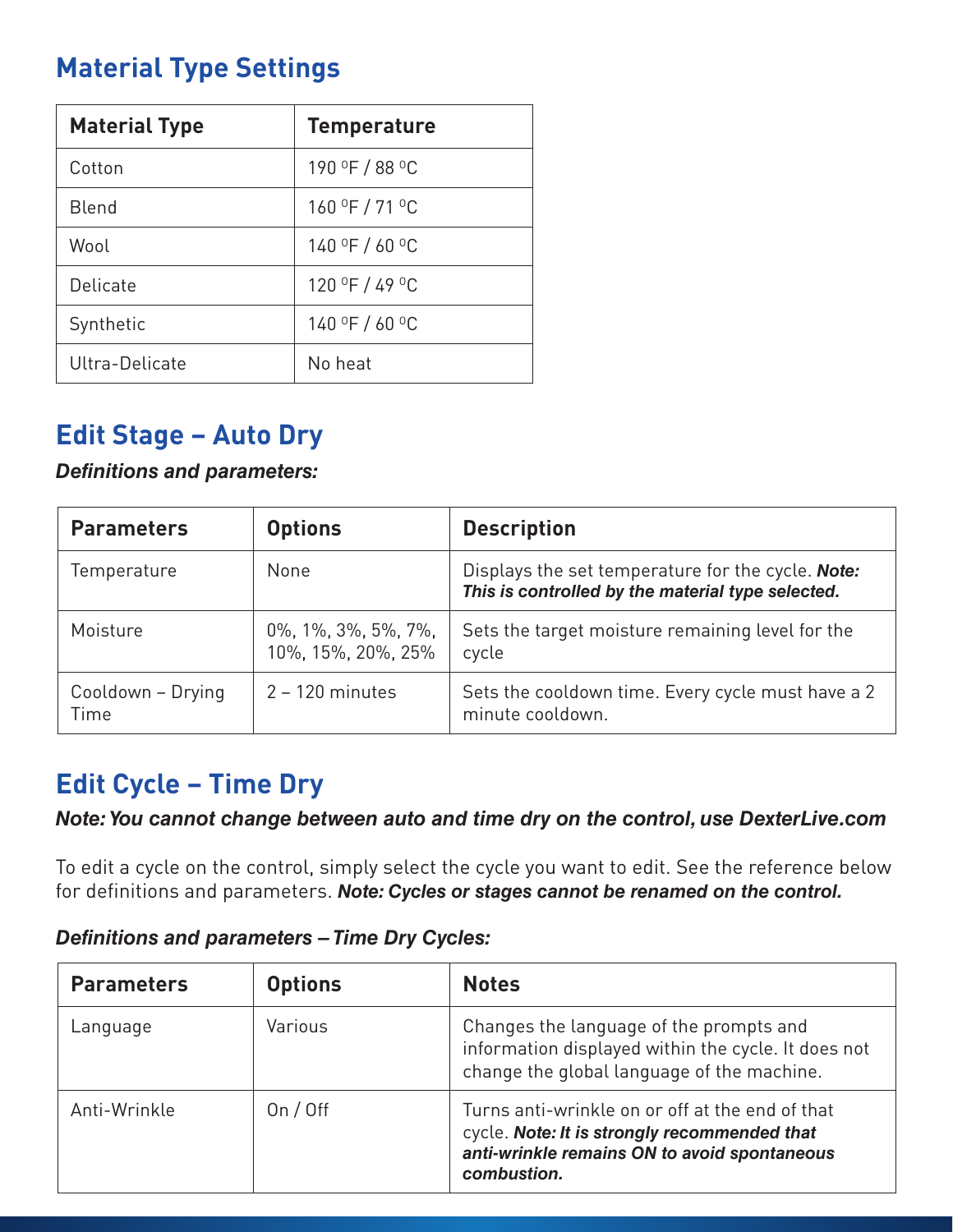### **Material Type Settings**

| <b>Material Type</b> | <b>Temperature</b> |
|----------------------|--------------------|
| Cotton               | 190 °F / 88 °C     |
| <b>Blend</b>         | 160 °F / 71 °C     |
| Wool                 | $140$ °F / 60 °C   |
| Delicate             | 120 °F / 49 °C     |
| Synthetic            | 140 °F / 60 °C     |
| Ultra-Delicate       | No heat            |

### **Edit Stage – Auto Dry**

### *Definitions and parameters:*

| <b>Parameters</b>         | <b>Options</b>                                                | <b>Description</b>                                                                                     |
|---------------------------|---------------------------------------------------------------|--------------------------------------------------------------------------------------------------------|
| Temperature               | None                                                          | Displays the set temperature for the cycle. Note:<br>This is controlled by the material type selected. |
| Moisture                  | $0\%$ , $1\%$ , $3\%$ , $5\%$ , $7\%$ ,<br>10%, 15%, 20%, 25% | Sets the target moisture remaining level for the<br>cycle                                              |
| Cooldown - Drying<br>Time | $2 - 120$ minutes                                             | Sets the cooldown time. Every cycle must have a 2<br>minute cooldown.                                  |

### **Edit Cycle – Time Dry**

*Note: You cannot change between auto and time dry on the control, use DexterLive.com*

To edit a cycle on the control, simply select the cycle you want to edit. See the reference below for definitions and parameters. *Note: Cycles or stages cannot be renamed on the control.*

### *Definitions and parameters – Time Dry Cycles:*

| <b>Parameters</b> | <b>Options</b> | <b>Notes</b>                                                                                                                                                   |
|-------------------|----------------|----------------------------------------------------------------------------------------------------------------------------------------------------------------|
| Language          | Various        | Changes the language of the prompts and<br>information displayed within the cycle. It does not<br>change the global language of the machine.                   |
| Anti-Wrinkle      | On $/$ Off     | Turns anti-wrinkle on or off at the end of that<br>cycle. Note: It is strongly recommended that<br>anti-wrinkle remains ON to avoid spontaneous<br>combustion. |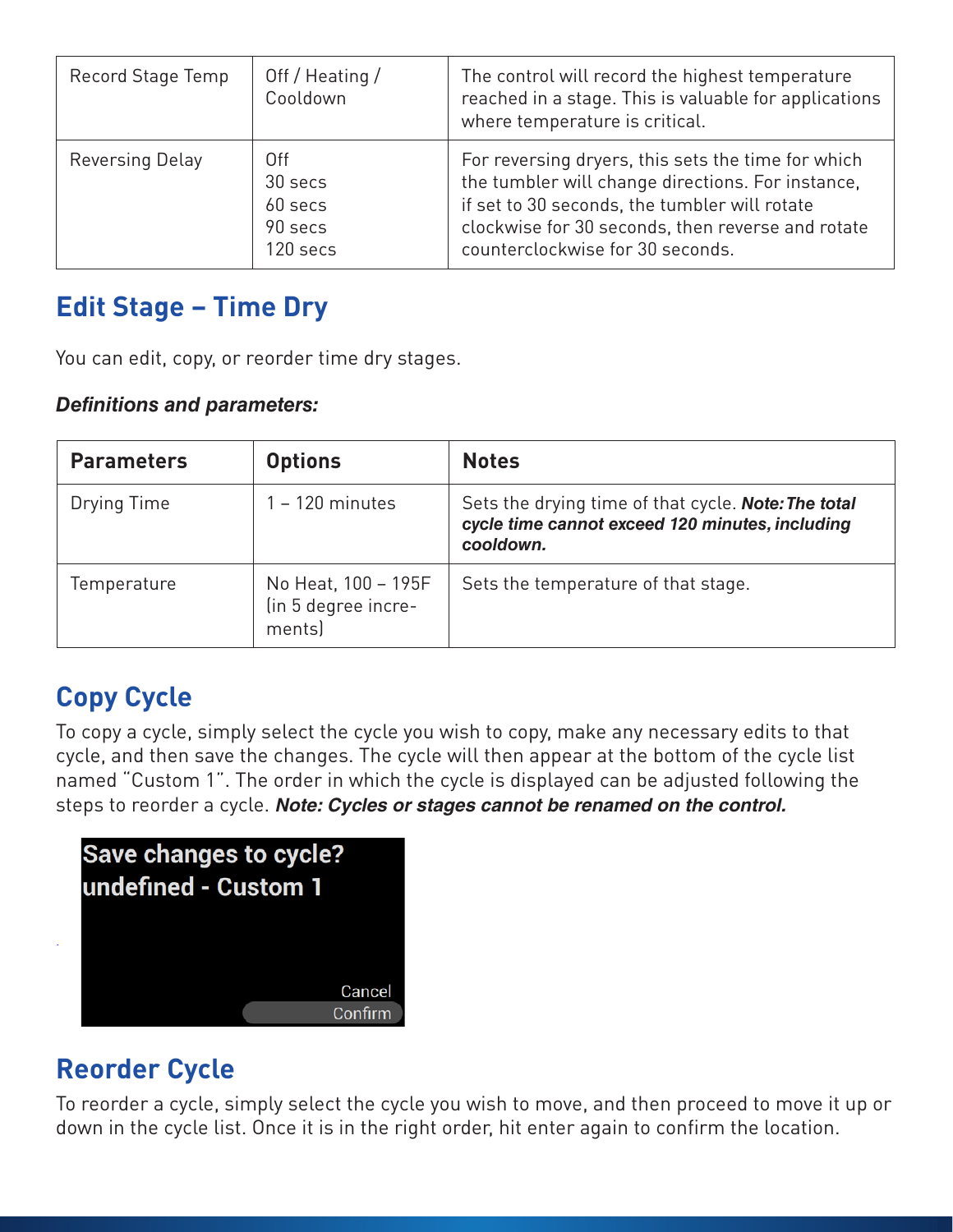| Record Stage Temp | Off / Heating /<br>Cooldown                      | The control will record the highest temperature<br>reached in a stage. This is valuable for applications<br>where temperature is critical.                                                                                                        |
|-------------------|--------------------------------------------------|---------------------------------------------------------------------------------------------------------------------------------------------------------------------------------------------------------------------------------------------------|
| Reversing Delay   | 0ff<br>30 secs<br>60 secs<br>90 secs<br>120 secs | For reversing dryers, this sets the time for which<br>the tumbler will change directions. For instance,<br>if set to 30 seconds, the tumbler will rotate<br>clockwise for 30 seconds, then reverse and rotate<br>counterclockwise for 30 seconds. |

#### **Edit Stage - Time Dry** 30 secs

.<br>You can edit, copy, or reorder time dry stages. raer i set to 30 seconds, the tumbler will rotate clockwise for 30 seconds, then reverse and reverse and reverse and reverse and reverse and reverse and rotate

#### *Definitions and parameters:*

| <b>Parameters</b> | <b>Options</b>                                       | <b>Notes</b>                                                                                                               |
|-------------------|------------------------------------------------------|----------------------------------------------------------------------------------------------------------------------------|
| Drying Time       | $1 - 120$ minutes                                    | Sets the drying time of that cycle. <b>Note: The total</b><br>cycle time cannot exceed 120 minutes, including<br>cooldown. |
| Temperature       | No Heat, 100 - 195F<br>(in 5 degree incre-<br>ments) | Sets the temperature of that stage.                                                                                        |

# **Copy Cycle Copy Cycle**

To copy a cycle, simply select the cycle you wish to copy, make any necessary edits to that cycle, and then save the changes. The cycle will then appear at the bottom of the cycle list then save the members are changed. The cycle that are appear at the section of the cycle act.<br>The mamed "Custom 1". The order in which the cycle is displayed can be adjusted following the steps to reorder a cycle. *Note: Cycles or stages cannot be renamed on the control. Cycles or stages cannot be renamed on the control***.** The order in which the cycle is displayed can be adjusted following the steps to reorder a cycle. *Note:* 

| Save changes to cycle?<br>undefined - Custom 1 |         |
|------------------------------------------------|---------|
|                                                | Cancel  |
|                                                | Confirm |

## **Reorder Cycle Reorder Cycle**

To reorder a cycle, simply select the cycle you wish to move, and then proceed to move it up or down in To reorder a cycle, simply select the cycle you wish to move, and then proceed to move it up or down in the cycle list. Once it is in the right order, hit enter again to confirm the location.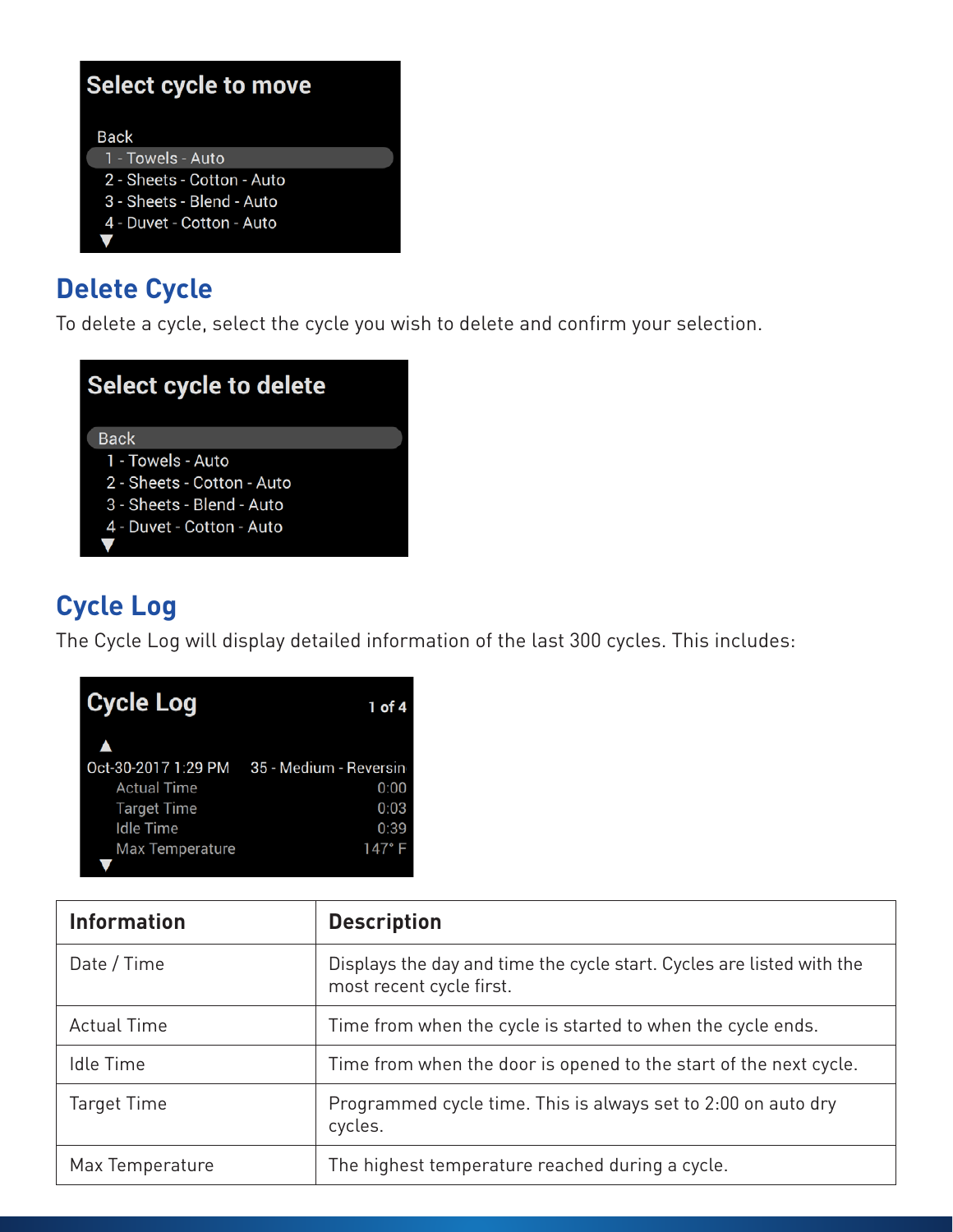| Select cycle to move       |  |
|----------------------------|--|
|                            |  |
| <b>Back</b>                |  |
| 1 - Towels - Auto          |  |
| 2 - Sheets - Cotton - Auto |  |
| 3 - Sheets - Blend - Auto  |  |
| 4 - Duvet - Cotton - Auto  |  |
|                            |  |

### **Delete Cycle Delete Cycle**

To delete a cycle, select the cycle you wish to delete and confirm your selection. To delete a cycle, select the cycle you wish to delete and confirm your selection. **Delete Cycle**

| Select cycle to delete     |
|----------------------------|
| <b>Back</b>                |
| 1 - Towels - Auto          |
| 2 - Sheets - Cotton - Auto |
| 3 - Sheets - Blend - Auto  |
| 4 - Duvet - Cotton - Auto  |
|                            |

#### **Cycle Log Cycle Log**  $T_{\text{c}}$  will display detailed information of the last  $300$ **Cycle Log**

The Cycle Log will display detailed information of the last 300 cycles. This includes: The Cycle Log will display detailed information of the last 300 cycles. This includes: The Cycle Log will display detailed information of the last 300 cycles. This includes:

| <b>Cycle Log</b>       | 1 of 4                 |
|------------------------|------------------------|
|                        |                        |
| Oct-30-2017 1:29 PM    | 35 - Medium - Reversin |
| <b>Actual Time</b>     | 0:00                   |
| <b>Target Time</b>     | 0:03                   |
| <b>Idle Time</b>       | 0:39                   |
| <b>Max Temperature</b> | 147° F                 |
|                        |                        |

| <b>Information</b> | <b>Description</b>                                                                                |
|--------------------|---------------------------------------------------------------------------------------------------|
| Date / Time        | Displays the day and time the cycle start. Cycles are listed with the<br>most recent cycle first. |
| <b>Actual Time</b> | Time from when the cycle is started to when the cycle ends.                                       |
| Idle Time          | Time from when the door is opened to the start of the next cycle.                                 |
| <b>Target Time</b> | Programmed cycle time. This is always set to 2:00 on auto dry<br>cycles.                          |
| Max Temperature    | The highest temperature reached during a cycle.                                                   |